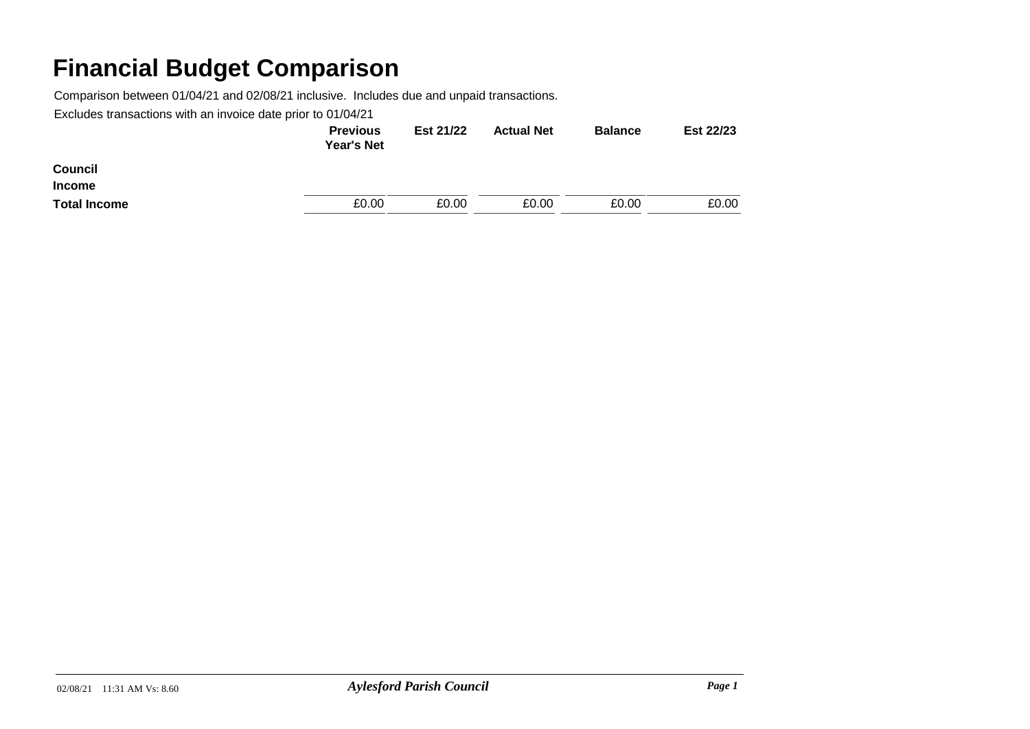Comparison between 01/04/21 and 02/08/21 inclusive. Includes due and unpaid transactions.

|                     | <b>Previous</b><br><b>Year's Net</b> | Est 21/22 | <b>Actual Net</b> | <b>Balance</b> | Est 22/23 |
|---------------------|--------------------------------------|-----------|-------------------|----------------|-----------|
| <b>Council</b>      |                                      |           |                   |                |           |
| <b>Income</b>       |                                      |           |                   |                |           |
| <b>Total Income</b> | £0.00                                | £0.00     | £0.00             | £0.00          | £0.00     |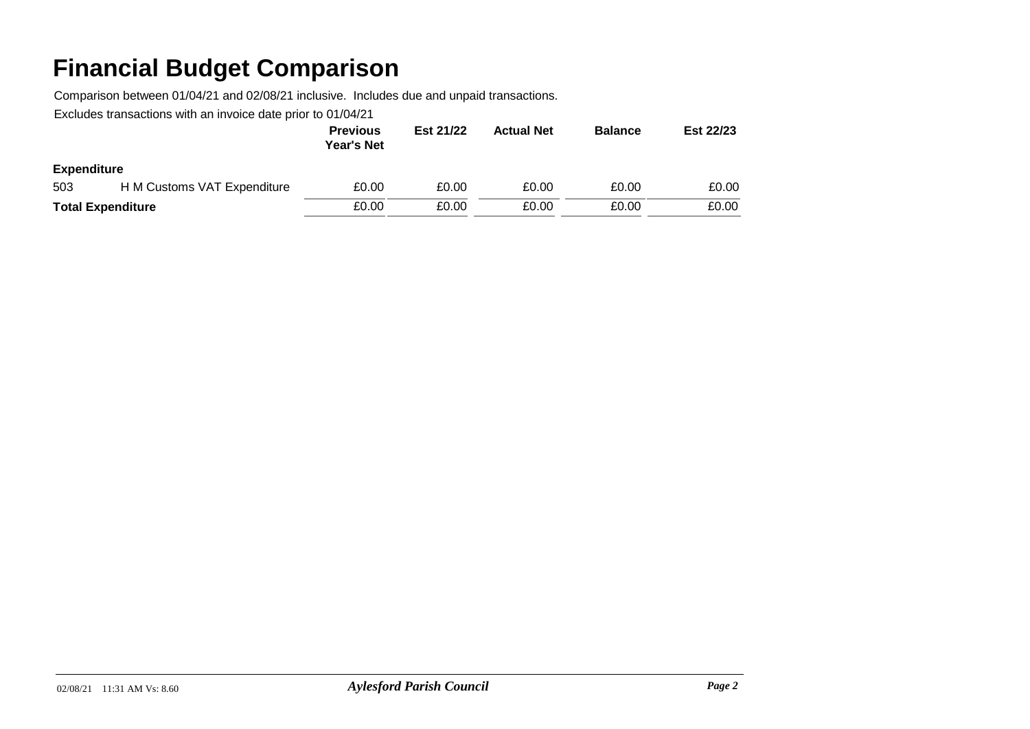Comparison between 01/04/21 and 02/08/21 inclusive. Includes due and unpaid transactions.

|                          |                             | <b>Previous</b><br><b>Year's Net</b> | Est 21/22 | <b>Actual Net</b> | <b>Balance</b> | Est 22/23 |
|--------------------------|-----------------------------|--------------------------------------|-----------|-------------------|----------------|-----------|
| <b>Expenditure</b>       |                             |                                      |           |                   |                |           |
| 503                      | H M Customs VAT Expenditure | £0.00                                | £0.00     | £0.00             | £0.00          | £0.00     |
| <b>Total Expenditure</b> |                             | £0.00                                | £0.00     | £0.00             | £0.00          | £0.00     |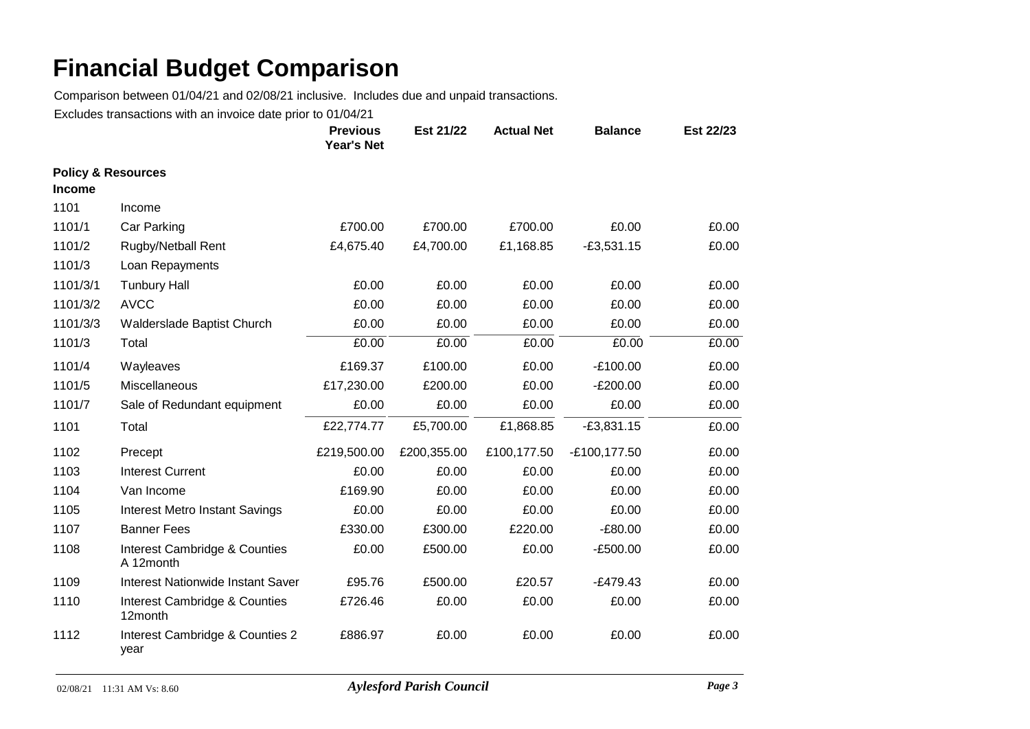Comparison between 01/04/21 and 02/08/21 inclusive. Includes due and unpaid transactions.

|                                                |                                            | <b>Previous</b><br>Year's Net | Est 21/22   | <b>Actual Net</b> | <b>Balance</b> | Est 22/23 |
|------------------------------------------------|--------------------------------------------|-------------------------------|-------------|-------------------|----------------|-----------|
| <b>Policy &amp; Resources</b><br><b>Income</b> |                                            |                               |             |                   |                |           |
| 1101                                           | Income                                     |                               |             |                   |                |           |
| 1101/1                                         | Car Parking                                | £700.00                       | £700.00     | £700.00           | £0.00          | £0.00     |
| 1101/2                                         | <b>Rugby/Netball Rent</b>                  | £4,675.40                     | £4,700.00   | £1,168.85         | $-£3,531.15$   | £0.00     |
| 1101/3                                         | Loan Repayments                            |                               |             |                   |                |           |
| 1101/3/1                                       | <b>Tunbury Hall</b>                        | £0.00                         | £0.00       | £0.00             | £0.00          | £0.00     |
| 1101/3/2                                       | <b>AVCC</b>                                | £0.00                         | £0.00       | £0.00             | £0.00          | £0.00     |
| 1101/3/3                                       | Walderslade Baptist Church                 | £0.00                         | £0.00       | £0.00             | £0.00          | £0.00     |
| 1101/3                                         | Total                                      | £0.00                         | £0.00       | £0.00             | £0.00          | £0.00     |
| 1101/4                                         | Wayleaves                                  | £169.37                       | £100.00     | £0.00             | $-E100.00$     | £0.00     |
| 1101/5                                         | Miscellaneous                              | £17,230.00                    | £200.00     | £0.00             | $-E200.00$     | £0.00     |
| 1101/7                                         | Sale of Redundant equipment                | £0.00                         | £0.00       | £0.00             | £0.00          | £0.00     |
| 1101                                           | Total                                      | £22,774.77                    | £5,700.00   | £1,868.85         | $-£3,831.15$   | £0.00     |
| 1102                                           | Precept                                    | £219,500.00                   | £200,355.00 | £100,177.50       | -£100,177.50   | £0.00     |
| 1103                                           | <b>Interest Current</b>                    | £0.00                         | £0.00       | £0.00             | £0.00          | £0.00     |
| 1104                                           | Van Income                                 | £169.90                       | £0.00       | £0.00             | £0.00          | £0.00     |
| 1105                                           | <b>Interest Metro Instant Savings</b>      | £0.00                         | £0.00       | £0.00             | £0.00          | £0.00     |
| 1107                                           | <b>Banner Fees</b>                         | £330.00                       | £300.00     | £220.00           | $-£80.00$      | £0.00     |
| 1108                                           | Interest Cambridge & Counties<br>A 12month | £0.00                         | £500.00     | £0.00             | $-E500.00$     | £0.00     |
| 1109                                           | <b>Interest Nationwide Instant Saver</b>   | £95.76                        | £500.00     | £20.57            | $-E479.43$     | £0.00     |
| 1110                                           | Interest Cambridge & Counties<br>12month   | £726.46                       | £0.00       | £0.00             | £0.00          | £0.00     |
| 1112                                           | Interest Cambridge & Counties 2<br>year    | £886.97                       | £0.00       | £0.00             | £0.00          | £0.00     |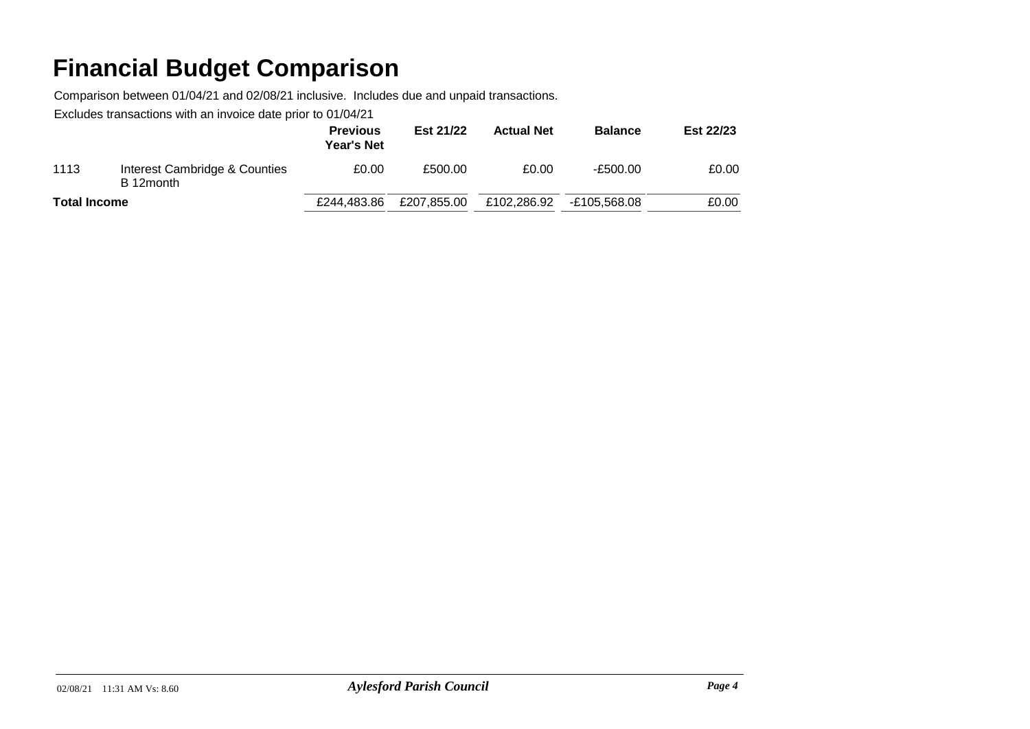Comparison between 01/04/21 and 02/08/21 inclusive. Includes due and unpaid transactions.

|                     |                                            | <b>Previous</b><br><b>Year's Net</b> | Est 21/22   | <b>Actual Net</b> | <b>Balance</b> | Est 22/23 |
|---------------------|--------------------------------------------|--------------------------------------|-------------|-------------------|----------------|-----------|
| 1113                | Interest Cambridge & Counties<br>B 12month | £0.00                                | £500.00     | £0.00             | $-E500.00$     | £0.00     |
| <b>Total Income</b> |                                            | £244.483.86                          | £207,855.00 | £102,286.92       | E105.568.08-   | £0.00     |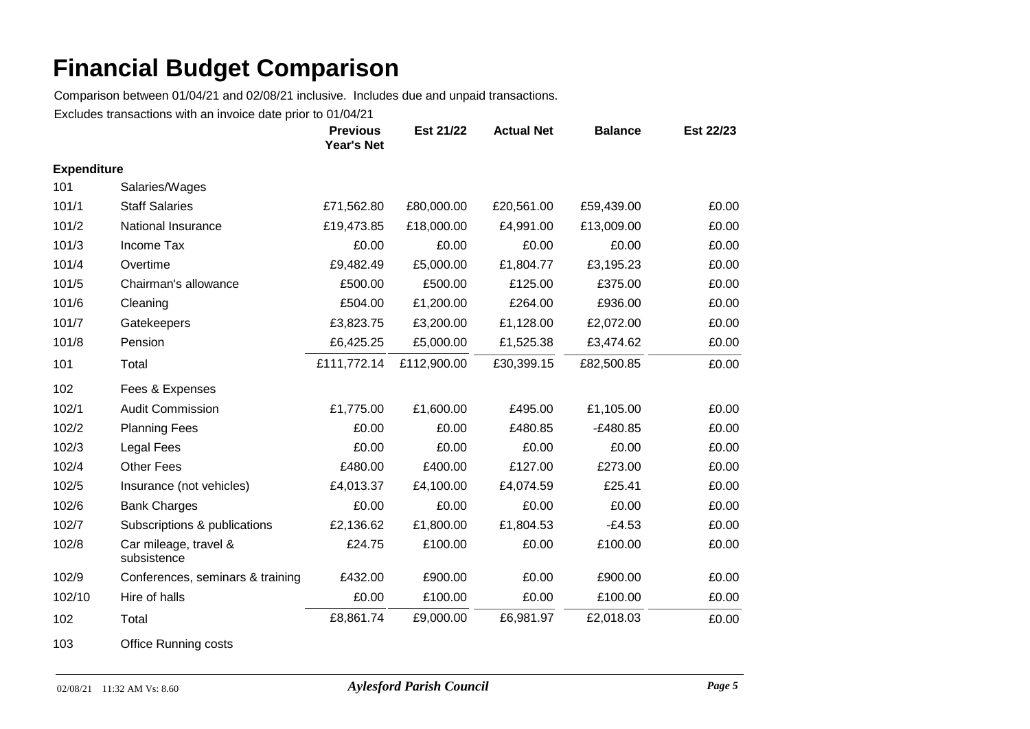Comparison between 01/04/21 and 02/08/21 inclusive. Includes due and unpaid transactions.

Excludes transactions with an invoice date prior to 01/04/21

|                    |                                      | <b>Previous</b><br>Year's Net | Est 21/22   | <b>Actual Net</b> | <b>Balance</b> | Est 22/23 |
|--------------------|--------------------------------------|-------------------------------|-------------|-------------------|----------------|-----------|
| <b>Expenditure</b> |                                      |                               |             |                   |                |           |
| 101                | Salaries/Wages                       |                               |             |                   |                |           |
| 101/1              | <b>Staff Salaries</b>                | £71,562.80                    | £80,000.00  | £20,561.00        | £59,439.00     | £0.00     |
| 101/2              | National Insurance                   | £19,473.85                    | £18,000.00  | £4,991.00         | £13,009.00     | £0.00     |
| 101/3              | Income Tax                           | £0.00                         | £0.00       | £0.00             | £0.00          | £0.00     |
| 101/4              | Overtime                             | £9,482.49                     | £5,000.00   | £1,804.77         | £3,195.23      | £0.00     |
| 101/5              | Chairman's allowance                 | £500.00                       | £500.00     | £125.00           | £375.00        | £0.00     |
| 101/6              | Cleaning                             | £504.00                       | £1,200.00   | £264.00           | £936.00        | £0.00     |
| 101/7              | Gatekeepers                          | £3,823.75                     | £3,200.00   | £1,128.00         | £2,072.00      | £0.00     |
| 101/8              | Pension                              | £6,425.25                     | £5,000.00   | £1,525.38         | £3,474.62      | £0.00     |
| 101                | Total                                | £111,772.14                   | £112,900.00 | £30,399.15        | £82,500.85     | £0.00     |
| 102                | Fees & Expenses                      |                               |             |                   |                |           |
| 102/1              | <b>Audit Commission</b>              | £1,775.00                     | £1,600.00   | £495.00           | £1,105.00      | £0.00     |
| 102/2              | <b>Planning Fees</b>                 | £0.00                         | £0.00       | £480.85           | $-E480.85$     | £0.00     |
| 102/3              | Legal Fees                           | £0.00                         | £0.00       | £0.00             | £0.00          | £0.00     |
| 102/4              | <b>Other Fees</b>                    | £480.00                       | £400.00     | £127.00           | £273.00        | £0.00     |
| 102/5              | Insurance (not vehicles)             | £4,013.37                     | £4,100.00   | £4,074.59         | £25.41         | £0.00     |
| 102/6              | <b>Bank Charges</b>                  | £0.00                         | £0.00       | £0.00             | £0.00          | £0.00     |
| 102/7              | Subscriptions & publications         | £2,136.62                     | £1,800.00   | £1,804.53         | $-E4.53$       | £0.00     |
| 102/8              | Car mileage, travel &<br>subsistence | £24.75                        | £100.00     | £0.00             | £100.00        | £0.00     |
| 102/9              | Conferences, seminars & training     | £432.00                       | £900.00     | £0.00             | £900.00        | £0.00     |
| 102/10             | Hire of halls                        | £0.00                         | £100.00     | £0.00             | £100.00        | £0.00     |
| 102                | Total                                | £8,861.74                     | £9,000.00   | £6,981.97         | £2,018.03      | £0.00     |

103 Office Running costs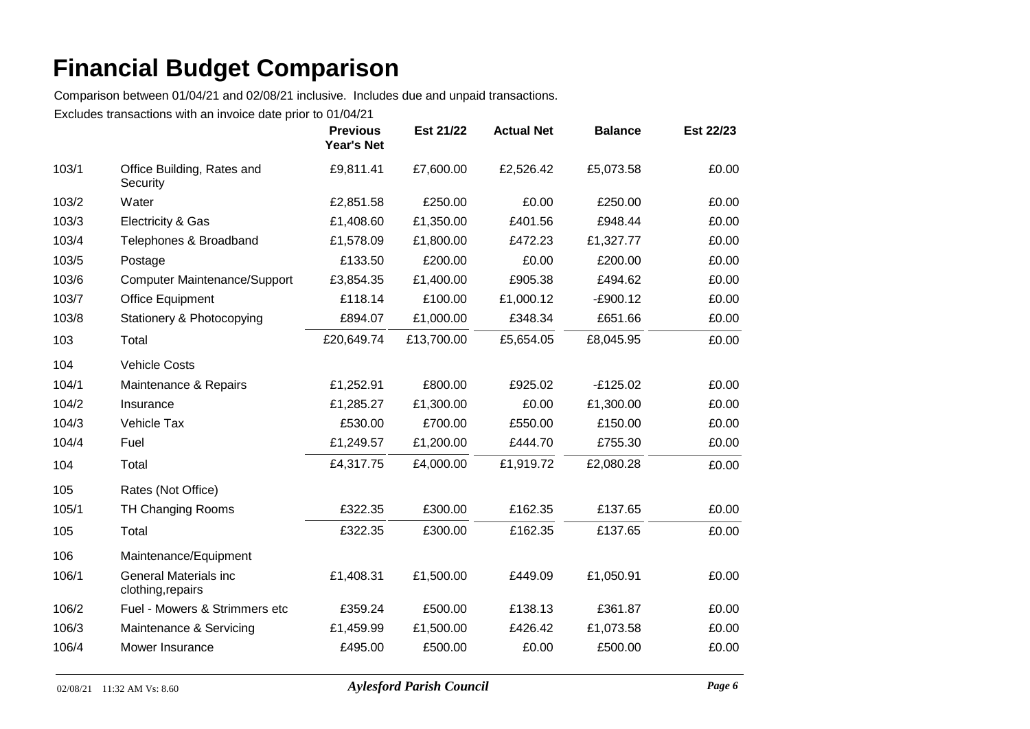Comparison between 01/04/21 and 02/08/21 inclusive. Includes due and unpaid transactions.

|       |                                                   | <b>Previous</b><br><b>Year's Net</b> | Est 21/22  | <b>Actual Net</b> | <b>Balance</b> | Est 22/23 |
|-------|---------------------------------------------------|--------------------------------------|------------|-------------------|----------------|-----------|
| 103/1 | Office Building, Rates and<br>Security            | £9,811.41                            | £7,600.00  | £2,526.42         | £5,073.58      | £0.00     |
| 103/2 | Water                                             | £2,851.58                            | £250.00    | £0.00             | £250.00        | £0.00     |
| 103/3 | Electricity & Gas                                 | £1,408.60                            | £1,350.00  | £401.56           | £948.44        | £0.00     |
| 103/4 | Telephones & Broadband                            | £1,578.09                            | £1,800.00  | £472.23           | £1,327.77      | £0.00     |
| 103/5 | Postage                                           | £133.50                              | £200.00    | £0.00             | £200.00        | £0.00     |
| 103/6 | <b>Computer Maintenance/Support</b>               | £3,854.35                            | £1,400.00  | £905.38           | £494.62        | £0.00     |
| 103/7 | <b>Office Equipment</b>                           | £118.14                              | £100.00    | £1,000.12         | $-E900.12$     | £0.00     |
| 103/8 | Stationery & Photocopying                         | £894.07                              | £1,000.00  | £348.34           | £651.66        | £0.00     |
| 103   | Total                                             | £20,649.74                           | £13,700.00 | £5,654.05         | £8,045.95      | £0.00     |
| 104   | <b>Vehicle Costs</b>                              |                                      |            |                   |                |           |
| 104/1 | Maintenance & Repairs                             | £1,252.91                            | £800.00    | £925.02           | $-E125.02$     | £0.00     |
| 104/2 | Insurance                                         | £1,285.27                            | £1,300.00  | £0.00             | £1,300.00      | £0.00     |
| 104/3 | Vehicle Tax                                       | £530.00                              | £700.00    | £550.00           | £150.00        | £0.00     |
| 104/4 | Fuel                                              | £1,249.57                            | £1,200.00  | £444.70           | £755.30        | £0.00     |
| 104   | Total                                             | £4,317.75                            | £4,000.00  | £1,919.72         | £2,080.28      | £0.00     |
| 105   | Rates (Not Office)                                |                                      |            |                   |                |           |
| 105/1 | <b>TH Changing Rooms</b>                          | £322.35                              | £300.00    | £162.35           | £137.65        | £0.00     |
| 105   | Total                                             | £322.35                              | £300.00    | £162.35           | £137.65        | £0.00     |
| 106   | Maintenance/Equipment                             |                                      |            |                   |                |           |
| 106/1 | <b>General Materials inc</b><br>clothing, repairs | £1,408.31                            | £1,500.00  | £449.09           | £1,050.91      | £0.00     |
| 106/2 | Fuel - Mowers & Strimmers etc                     | £359.24                              | £500.00    | £138.13           | £361.87        | £0.00     |
| 106/3 | Maintenance & Servicing                           | £1,459.99                            | £1,500.00  | £426.42           | £1,073.58      | £0.00     |
| 106/4 | Mower Insurance                                   | £495.00                              | £500.00    | £0.00             | £500.00        | £0.00     |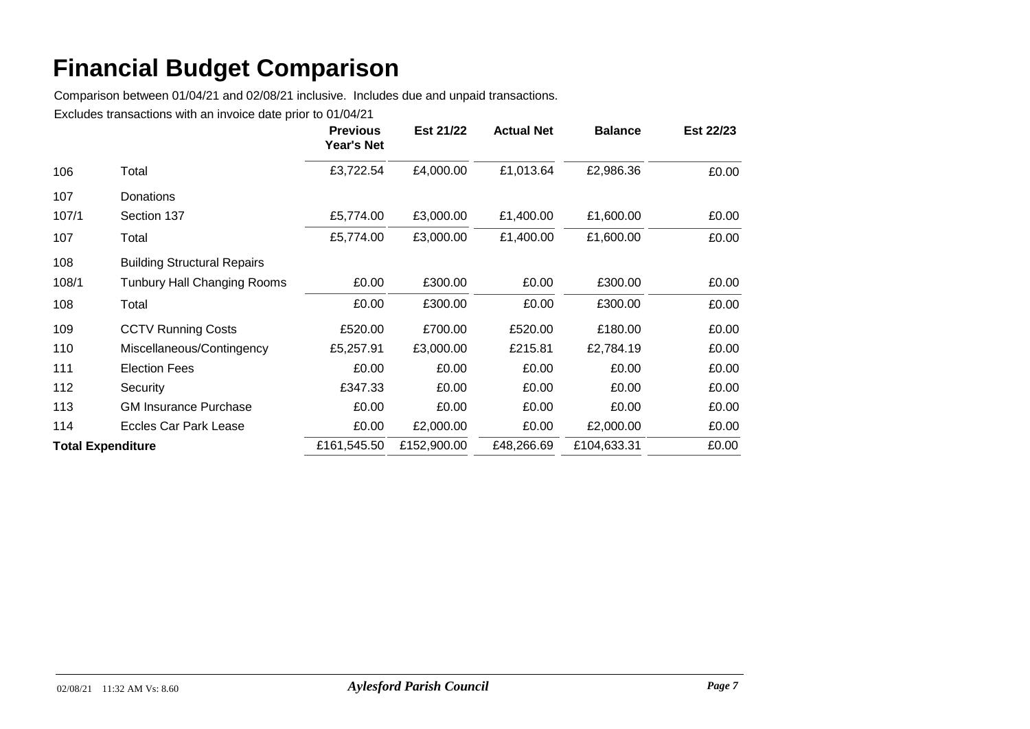Comparison between 01/04/21 and 02/08/21 inclusive. Includes due and unpaid transactions.

|       |                                    | <b>Previous</b><br>Year's Net | Est 21/22   | <b>Actual Net</b> | <b>Balance</b> | Est 22/23 |
|-------|------------------------------------|-------------------------------|-------------|-------------------|----------------|-----------|
| 106   | Total                              | £3,722.54                     | £4,000.00   | £1,013.64         | £2,986.36      | £0.00     |
| 107   | Donations                          |                               |             |                   |                |           |
| 107/1 | Section 137                        | £5,774.00                     | £3,000.00   | £1,400.00         | £1,600.00      | £0.00     |
| 107   | Total                              | £5,774.00                     | £3,000.00   | £1,400.00         | £1,600.00      | £0.00     |
| 108   | <b>Building Structural Repairs</b> |                               |             |                   |                |           |
| 108/1 | <b>Tunbury Hall Changing Rooms</b> | £0.00                         | £300.00     | £0.00             | £300.00        | £0.00     |
| 108   | Total                              | £0.00                         | £300.00     | £0.00             | £300.00        | £0.00     |
| 109   | <b>CCTV Running Costs</b>          | £520.00                       | £700.00     | £520.00           | £180.00        | £0.00     |
| 110   | Miscellaneous/Contingency          | £5,257.91                     | £3,000.00   | £215.81           | £2,784.19      | £0.00     |
| 111   | <b>Election Fees</b>               | £0.00                         | £0.00       | £0.00             | £0.00          | £0.00     |
| 112   | Security                           | £347.33                       | £0.00       | £0.00             | £0.00          | £0.00     |
| 113   | <b>GM Insurance Purchase</b>       | £0.00                         | £0.00       | £0.00             | £0.00          | £0.00     |
| 114   | Eccles Car Park Lease              | £0.00                         | £2,000.00   | £0.00             | £2,000.00      | £0.00     |
|       | <b>Total Expenditure</b>           | £161,545.50                   | £152,900.00 | £48,266.69        | £104,633.31    | £0.00     |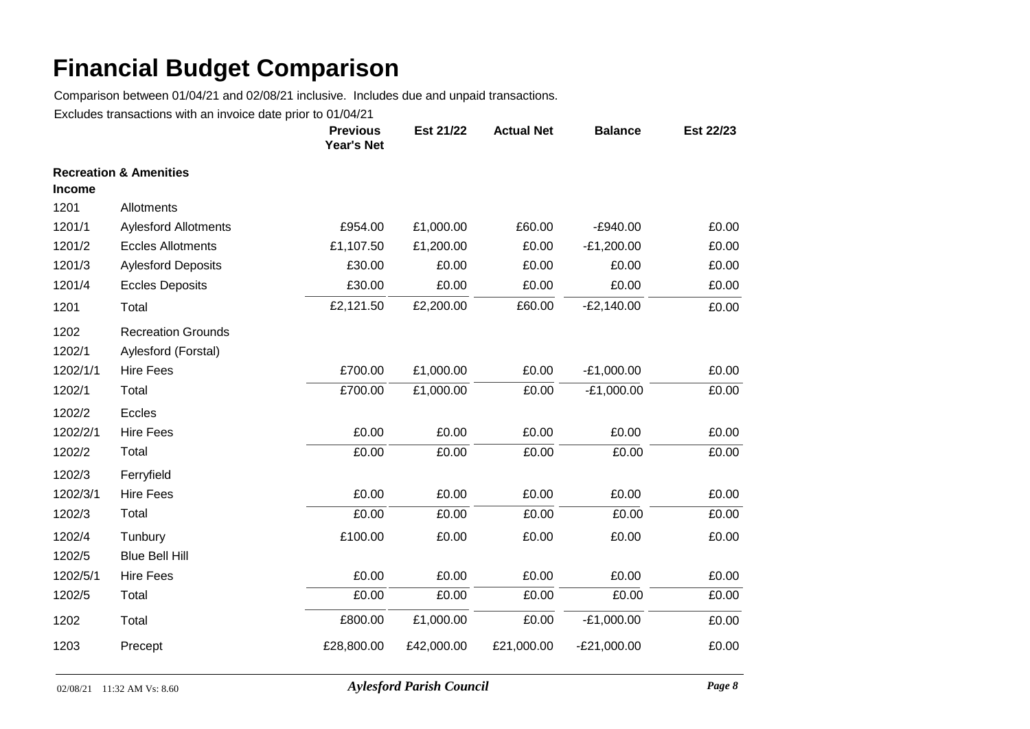Comparison between 01/04/21 and 02/08/21 inclusive. Includes due and unpaid transactions.

|                |                                                  | <b>Previous</b><br><b>Year's Net</b> | Est 21/22  | <b>Actual Net</b> | <b>Balance</b> | Est 22/23 |
|----------------|--------------------------------------------------|--------------------------------------|------------|-------------------|----------------|-----------|
| <b>Income</b>  | <b>Recreation &amp; Amenities</b>                |                                      |            |                   |                |           |
| 1201           | Allotments                                       |                                      |            |                   |                |           |
| 1201/1         | <b>Aylesford Allotments</b>                      | £954.00                              | £1,000.00  | £60.00            | $-E940.00$     | £0.00     |
| 1201/2         | <b>Eccles Allotments</b>                         | £1,107.50                            | £1,200.00  | £0.00             | $-E1,200.00$   | £0.00     |
| 1201/3         | <b>Aylesford Deposits</b>                        | £30.00                               | £0.00      | £0.00             | £0.00          | £0.00     |
| 1201/4         | <b>Eccles Deposits</b>                           | £30.00                               | £0.00      | £0.00             | £0.00          | £0.00     |
| 1201           | Total                                            | £2,121.50                            | £2,200.00  | £60.00            | $-E2,140.00$   | £0.00     |
| 1202<br>1202/1 | <b>Recreation Grounds</b><br>Aylesford (Forstal) |                                      |            |                   |                |           |
| 1202/1/1       | <b>Hire Fees</b>                                 | £700.00                              | £1,000.00  | £0.00             | $-E1,000.00$   | £0.00     |
| 1202/1         | Total                                            | £700.00                              | £1,000.00  | £0.00             | $-E1,000.00$   | £0.00     |
| 1202/2         | Eccles                                           |                                      |            |                   |                |           |
| 1202/2/1       | <b>Hire Fees</b>                                 | £0.00                                | £0.00      | £0.00             | £0.00          | £0.00     |
| 1202/2         | Total                                            | £0.00                                | £0.00      | £0.00             | £0.00          | £0.00     |
| 1202/3         | Ferryfield                                       |                                      |            |                   |                |           |
| 1202/3/1       | <b>Hire Fees</b>                                 | £0.00                                | £0.00      | £0.00             | £0.00          | £0.00     |
| 1202/3         | Total                                            | £0.00                                | £0.00      | £0.00             | £0.00          | £0.00     |
| 1202/4         | Tunbury                                          | £100.00                              | £0.00      | £0.00             | £0.00          | £0.00     |
| 1202/5         | <b>Blue Bell Hill</b>                            |                                      |            |                   |                |           |
| 1202/5/1       | <b>Hire Fees</b>                                 | £0.00                                | £0.00      | £0.00             | £0.00          | £0.00     |
| 1202/5         | Total                                            | £0.00                                | £0.00      | £0.00             | £0.00          | £0.00     |
| 1202           | Total                                            | £800.00                              | £1,000.00  | £0.00             | $-E1,000.00$   | £0.00     |
| 1203           | Precept                                          | £28,800.00                           | £42,000.00 | £21,000.00        | $-E21,000.00$  | £0.00     |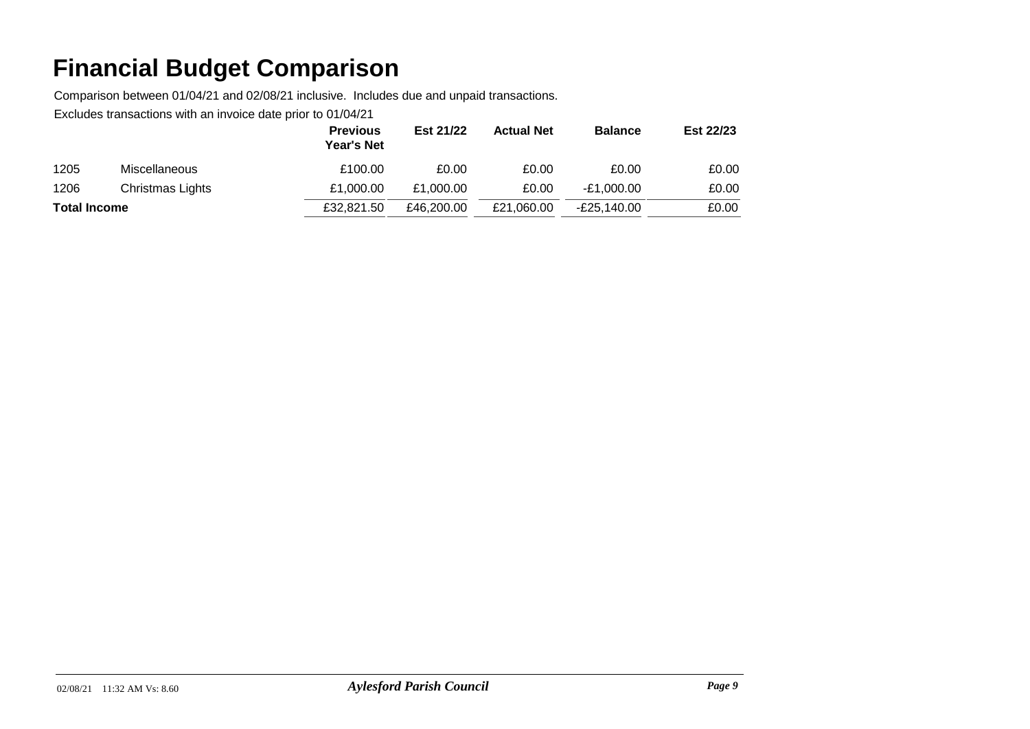Comparison between 01/04/21 and 02/08/21 inclusive. Includes due and unpaid transactions.

|                     |                      | <b>Previous</b><br><b>Year's Net</b> | Est 21/22  | <b>Actual Net</b> | <b>Balance</b> | Est 22/23 |
|---------------------|----------------------|--------------------------------------|------------|-------------------|----------------|-----------|
| 1205                | <b>Miscellaneous</b> | £100.00                              | £0.00      | £0.00             | £0.00          | £0.00     |
| 1206                | Christmas Lights     | £1.000.00                            | £1,000.00  | £0.00             | -£1.000.00     | £0.00     |
| <b>Total Income</b> |                      | £32,821.50                           | £46,200.00 | £21.060.00        | -£25.140.00    | £0.00     |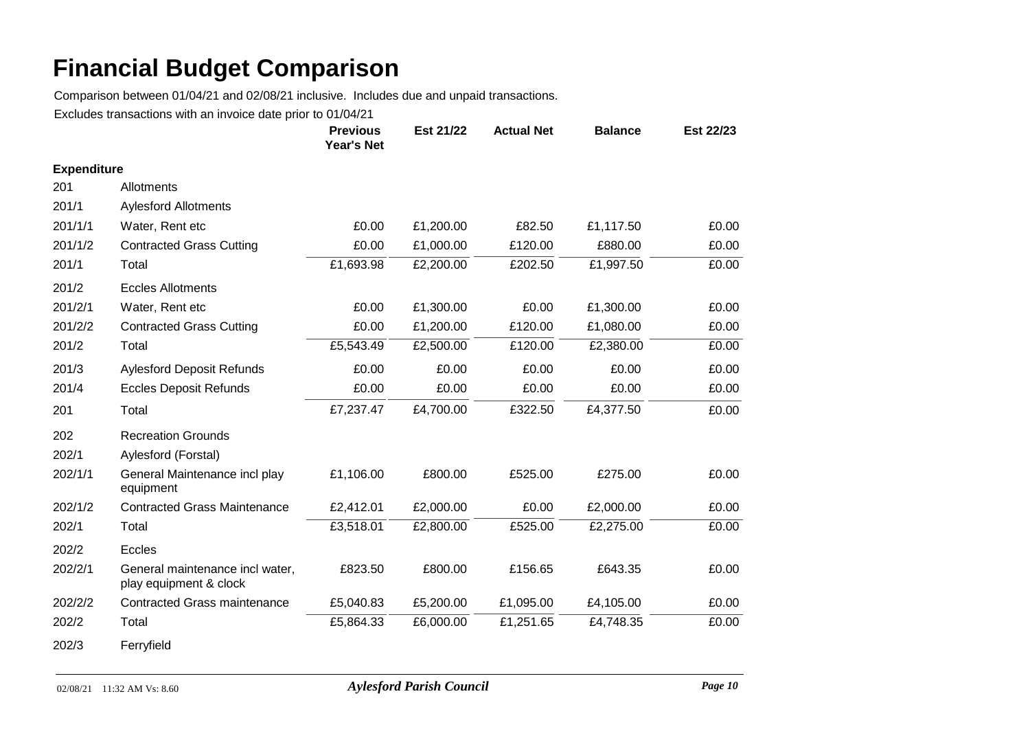Comparison between 01/04/21 and 02/08/21 inclusive. Includes due and unpaid transactions.

|                    |                                                           | <b>Previous</b><br><b>Year's Net</b> | Est 21/22 | <b>Actual Net</b> | <b>Balance</b> | Est 22/23 |
|--------------------|-----------------------------------------------------------|--------------------------------------|-----------|-------------------|----------------|-----------|
| <b>Expenditure</b> |                                                           |                                      |           |                   |                |           |
| 201                | Allotments                                                |                                      |           |                   |                |           |
| 201/1              | <b>Aylesford Allotments</b>                               |                                      |           |                   |                |           |
| 201/1/1            | Water, Rent etc                                           | £0.00                                | £1,200.00 | £82.50            | £1,117.50      | £0.00     |
| 201/1/2            | <b>Contracted Grass Cutting</b>                           | £0.00                                | £1,000.00 | £120.00           | £880.00        | £0.00     |
| 201/1              | Total                                                     | £1,693.98                            | £2,200.00 | £202.50           | £1,997.50      | £0.00     |
| 201/2              | <b>Eccles Allotments</b>                                  |                                      |           |                   |                |           |
| 201/2/1            | Water, Rent etc                                           | £0.00                                | £1,300.00 | £0.00             | £1,300.00      | £0.00     |
| 201/2/2            | <b>Contracted Grass Cutting</b>                           | £0.00                                | £1,200.00 | £120.00           | £1,080.00      | £0.00     |
| 201/2              | Total                                                     | £5,543.49                            | £2,500.00 | £120.00           | £2,380.00      | £0.00     |
| 201/3              | <b>Aylesford Deposit Refunds</b>                          | £0.00                                | £0.00     | £0.00             | £0.00          | £0.00     |
| 201/4              | <b>Eccles Deposit Refunds</b>                             | £0.00                                | £0.00     | £0.00             | £0.00          | £0.00     |
| 201                | Total                                                     | £7,237.47                            | £4,700.00 | £322.50           | £4,377.50      | £0.00     |
| 202                | <b>Recreation Grounds</b>                                 |                                      |           |                   |                |           |
| 202/1              | Aylesford (Forstal)                                       |                                      |           |                   |                |           |
| 202/1/1            | General Maintenance incl play<br>equipment                | £1,106.00                            | £800.00   | £525.00           | £275.00        | £0.00     |
| 202/1/2            | <b>Contracted Grass Maintenance</b>                       | £2,412.01                            | £2,000.00 | £0.00             | £2,000.00      | £0.00     |
| 202/1              | Total                                                     | £3,518.01                            | £2,800.00 | £525.00           | £2,275.00      | £0.00     |
| 202/2              | Eccles                                                    |                                      |           |                   |                |           |
| 202/2/1            | General maintenance incl water,<br>play equipment & clock | £823.50                              | £800.00   | £156.65           | £643.35        | £0.00     |
| 202/2/2            | <b>Contracted Grass maintenance</b>                       | £5,040.83                            | £5,200.00 | £1,095.00         | £4,105.00      | £0.00     |
| 202/2              | Total                                                     | £5,864.33                            | £6,000.00 | £1,251.65         | £4,748.35      | £0.00     |
| 202/3              | Ferryfield                                                |                                      |           |                   |                |           |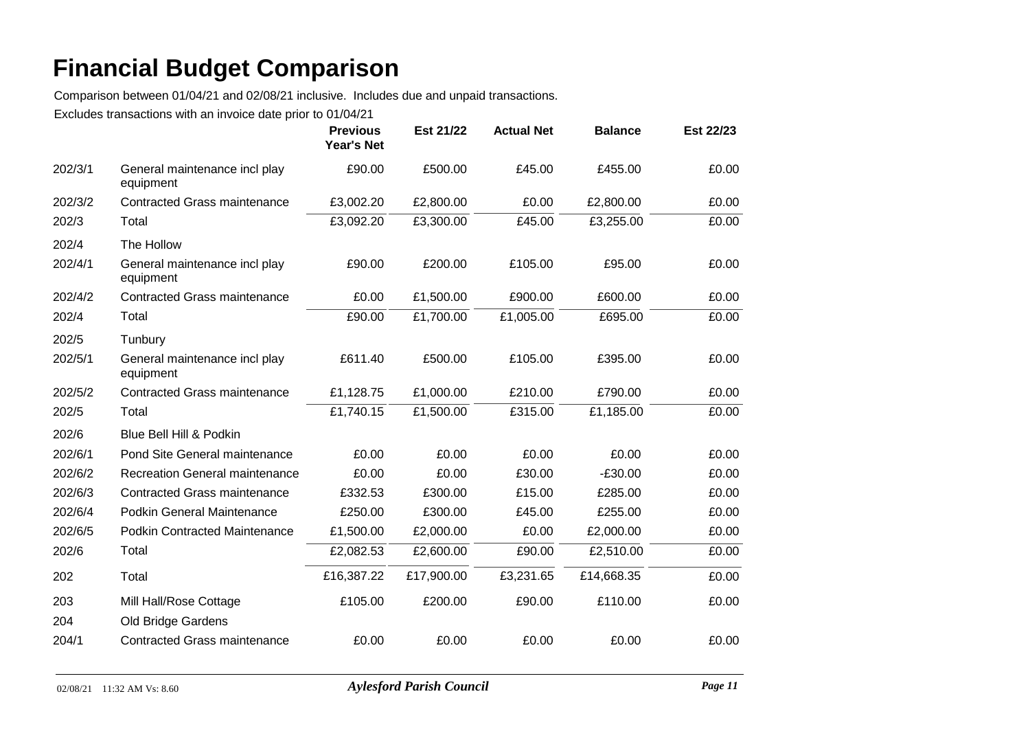Comparison between 01/04/21 and 02/08/21 inclusive. Includes due and unpaid transactions.

|         |                                            | <b>Previous</b><br><b>Year's Net</b> | Est 21/22  | <b>Actual Net</b> | <b>Balance</b> | Est 22/23 |
|---------|--------------------------------------------|--------------------------------------|------------|-------------------|----------------|-----------|
| 202/3/1 | General maintenance incl play<br>equipment | £90.00                               | £500.00    | £45.00            | £455.00        | £0.00     |
| 202/3/2 | <b>Contracted Grass maintenance</b>        | £3,002.20                            | £2,800.00  | £0.00             | £2,800.00      | £0.00     |
| 202/3   | Total                                      | £3,092.20                            | £3,300.00  | £45.00            | £3,255.00      | £0.00     |
| 202/4   | The Hollow                                 |                                      |            |                   |                |           |
| 202/4/1 | General maintenance incl play<br>equipment | £90.00                               | £200.00    | £105.00           | £95.00         | £0.00     |
| 202/4/2 | <b>Contracted Grass maintenance</b>        | £0.00                                | £1,500.00  | £900.00           | £600.00        | £0.00     |
| 202/4   | Total                                      | £90.00                               | £1,700.00  | £1,005.00         | £695.00        | £0.00     |
| 202/5   | Tunbury                                    |                                      |            |                   |                |           |
| 202/5/1 | General maintenance incl play<br>equipment | £611.40                              | £500.00    | £105.00           | £395.00        | £0.00     |
| 202/5/2 | <b>Contracted Grass maintenance</b>        | £1,128.75                            | £1,000.00  | £210.00           | £790.00        | £0.00     |
| 202/5   | Total                                      | £1,740.15                            | £1,500.00  | £315.00           | £1,185.00      | £0.00     |
| 202/6   | Blue Bell Hill & Podkin                    |                                      |            |                   |                |           |
| 202/6/1 | Pond Site General maintenance              | £0.00                                | £0.00      | £0.00             | £0.00          | £0.00     |
| 202/6/2 | Recreation General maintenance             | £0.00                                | £0.00      | £30.00            | $-E30.00$      | £0.00     |
| 202/6/3 | <b>Contracted Grass maintenance</b>        | £332.53                              | £300.00    | £15.00            | £285.00        | £0.00     |
| 202/6/4 | <b>Podkin General Maintenance</b>          | £250.00                              | £300.00    | £45.00            | £255.00        | £0.00     |
| 202/6/5 | <b>Podkin Contracted Maintenance</b>       | £1,500.00                            | £2,000.00  | £0.00             | £2,000.00      | £0.00     |
| 202/6   | Total                                      | £2,082.53                            | £2,600.00  | £90.00            | £2,510.00      | £0.00     |
| 202     | Total                                      | £16,387.22                           | £17,900.00 | £3,231.65         | £14,668.35     | £0.00     |
| 203     | Mill Hall/Rose Cottage                     | £105.00                              | £200.00    | £90.00            | £110.00        | £0.00     |
| 204     | Old Bridge Gardens                         |                                      |            |                   |                |           |
| 204/1   | <b>Contracted Grass maintenance</b>        | £0.00                                | £0.00      | £0.00             | £0.00          | £0.00     |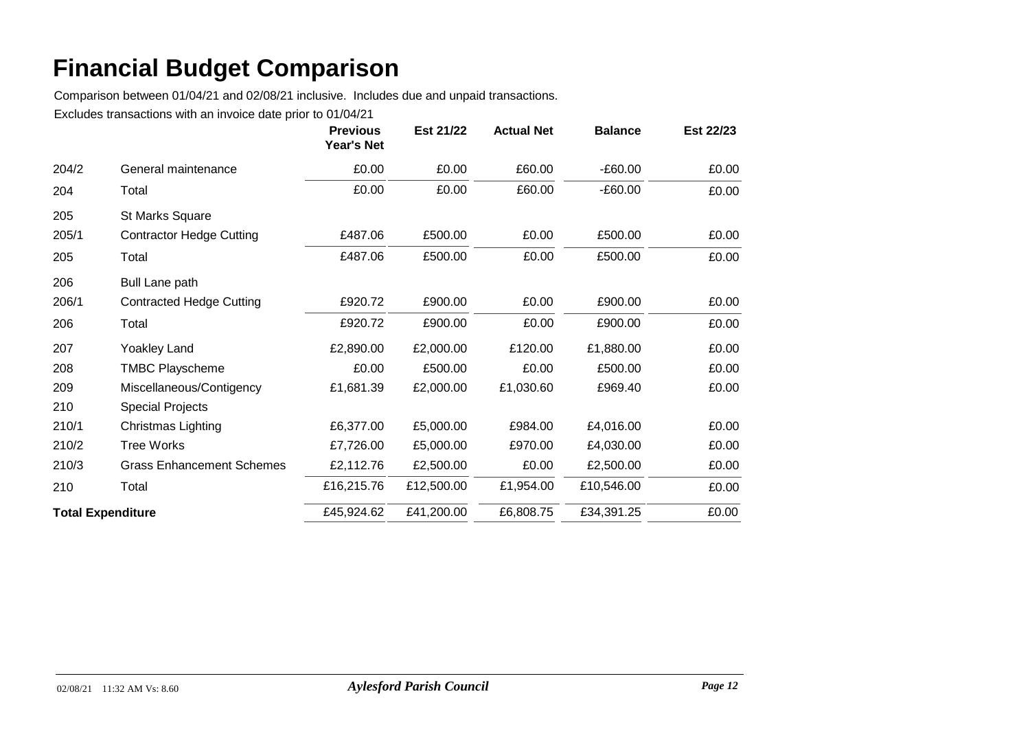Comparison between 01/04/21 and 02/08/21 inclusive. Includes due and unpaid transactions.

|                          |                                  | <b>Previous</b><br><b>Year's Net</b> | Est 21/22  | <b>Actual Net</b> | <b>Balance</b> | Est 22/23 |
|--------------------------|----------------------------------|--------------------------------------|------------|-------------------|----------------|-----------|
| 204/2                    | General maintenance              | £0.00                                | £0.00      | £60.00            | $-E60.00$      | £0.00     |
| 204                      | Total                            | £0.00                                | £0.00      | £60.00            | $-E60.00$      | £0.00     |
| 205                      | St Marks Square                  |                                      |            |                   |                |           |
| 205/1                    | <b>Contractor Hedge Cutting</b>  | £487.06                              | £500.00    | £0.00             | £500.00        | £0.00     |
| 205                      | Total                            | £487.06                              | £500.00    | £0.00             | £500.00        | £0.00     |
| 206                      | <b>Bull Lane path</b>            |                                      |            |                   |                |           |
| 206/1                    | <b>Contracted Hedge Cutting</b>  | £920.72                              | £900.00    | £0.00             | £900.00        | £0.00     |
| 206                      | Total                            | £920.72                              | £900.00    | £0.00             | £900.00        | £0.00     |
| 207                      | Yoakley Land                     | £2,890.00                            | £2,000.00  | £120.00           | £1,880.00      | £0.00     |
| 208                      | <b>TMBC Playscheme</b>           | £0.00                                | £500.00    | £0.00             | £500.00        | £0.00     |
| 209                      | Miscellaneous/Contigency         | £1,681.39                            | £2,000.00  | £1,030.60         | £969.40        | £0.00     |
| 210                      | <b>Special Projects</b>          |                                      |            |                   |                |           |
| 210/1                    | Christmas Lighting               | £6,377.00                            | £5,000.00  | £984.00           | £4,016.00      | £0.00     |
| 210/2                    | <b>Tree Works</b>                | £7,726.00                            | £5,000.00  | £970.00           | £4,030.00      | £0.00     |
| 210/3                    | <b>Grass Enhancement Schemes</b> | £2,112.76                            | £2,500.00  | £0.00             | £2,500.00      | £0.00     |
| 210                      | Total                            | £16,215.76                           | £12,500.00 | £1,954.00         | £10,546.00     | £0.00     |
| <b>Total Expenditure</b> |                                  | £45,924.62                           | £41,200.00 | £6,808.75         | £34,391.25     | £0.00     |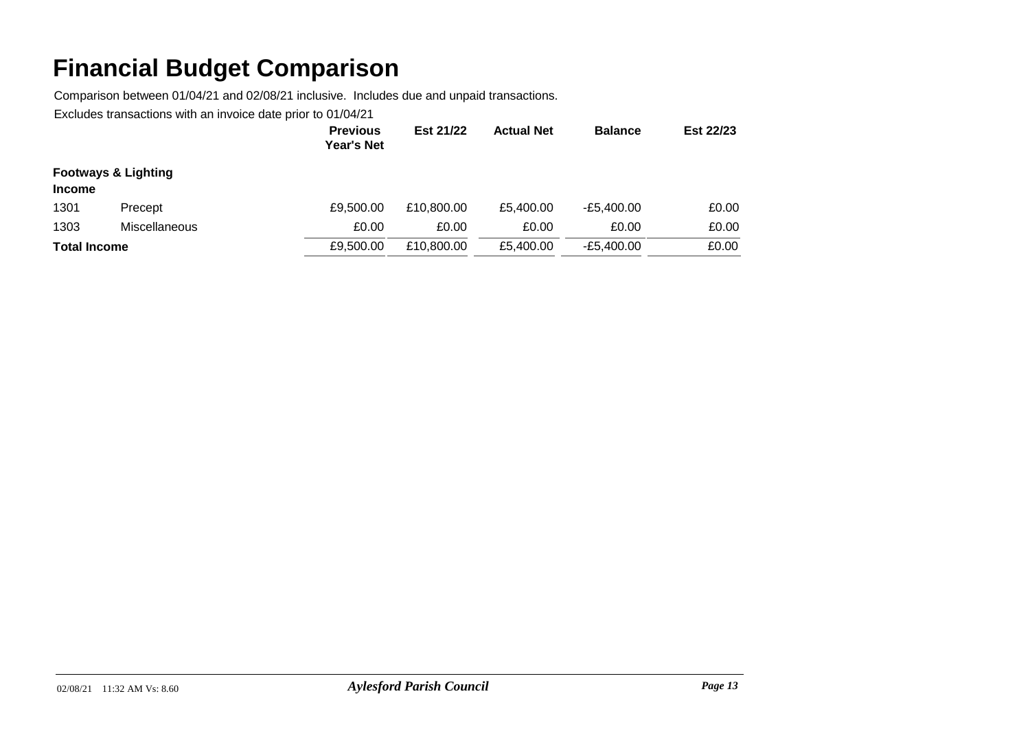Comparison between 01/04/21 and 02/08/21 inclusive. Includes due and unpaid transactions.

|                     |                                | <b>Previous</b><br><b>Year's Net</b> | Est 21/22  | <b>Actual Net</b> | <b>Balance</b> | Est 22/23 |
|---------------------|--------------------------------|--------------------------------------|------------|-------------------|----------------|-----------|
| <b>Income</b>       | <b>Footways &amp; Lighting</b> |                                      |            |                   |                |           |
| 1301                | Precept                        | £9,500.00                            | £10,800,00 | £5.400.00         | $-E5.400.00$   | £0.00     |
| 1303                | Miscellaneous                  | £0.00                                | £0.00      | £0.00             | £0.00          | £0.00     |
| <b>Total Income</b> |                                | £9,500.00                            | £10,800.00 | £5.400.00         | $-E5.400.00$   | £0.00     |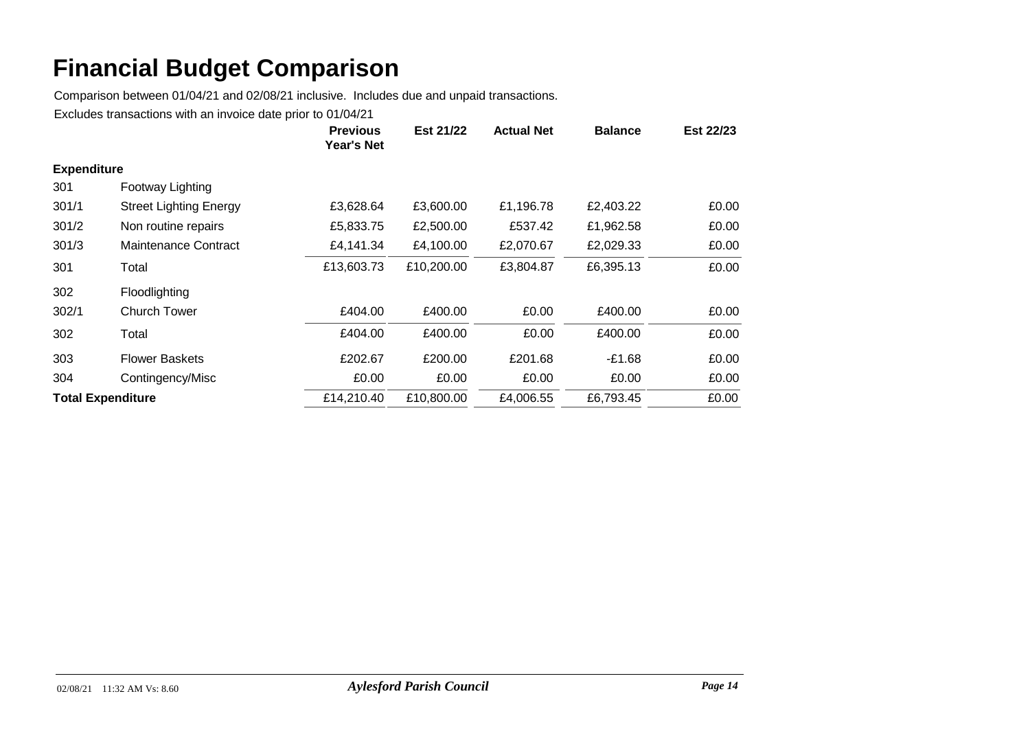Comparison between 01/04/21 and 02/08/21 inclusive. Includes due and unpaid transactions.

|                          |                               | <b>Previous</b><br>Year's Net | Est 21/22  | <b>Actual Net</b> | <b>Balance</b> | Est 22/23 |
|--------------------------|-------------------------------|-------------------------------|------------|-------------------|----------------|-----------|
| <b>Expenditure</b>       |                               |                               |            |                   |                |           |
| 301                      | Footway Lighting              |                               |            |                   |                |           |
| 301/1                    | <b>Street Lighting Energy</b> | £3,628.64                     | £3,600.00  | £1,196.78         | £2,403.22      | £0.00     |
| 301/2                    | Non routine repairs           | £5,833.75                     | £2,500.00  | £537.42           | £1,962.58      | £0.00     |
| 301/3                    | Maintenance Contract          | £4,141.34                     | £4,100.00  | £2,070.67         | £2,029.33      | £0.00     |
| 301                      | Total                         | £13,603.73                    | £10,200.00 | £3,804.87         | £6,395.13      | £0.00     |
| 302                      | Floodlighting                 |                               |            |                   |                |           |
| 302/1                    | Church Tower                  | £404.00                       | £400.00    | £0.00             | £400.00        | £0.00     |
| 302                      | Total                         | £404.00                       | £400.00    | £0.00             | £400.00        | £0.00     |
| 303                      | <b>Flower Baskets</b>         | £202.67                       | £200.00    | £201.68           | $-£1.68$       | £0.00     |
| 304                      | Contingency/Misc              | £0.00                         | £0.00      | £0.00             | £0.00          | £0.00     |
| <b>Total Expenditure</b> |                               | £14,210.40                    | £10,800.00 | £4,006.55         | £6,793.45      | £0.00     |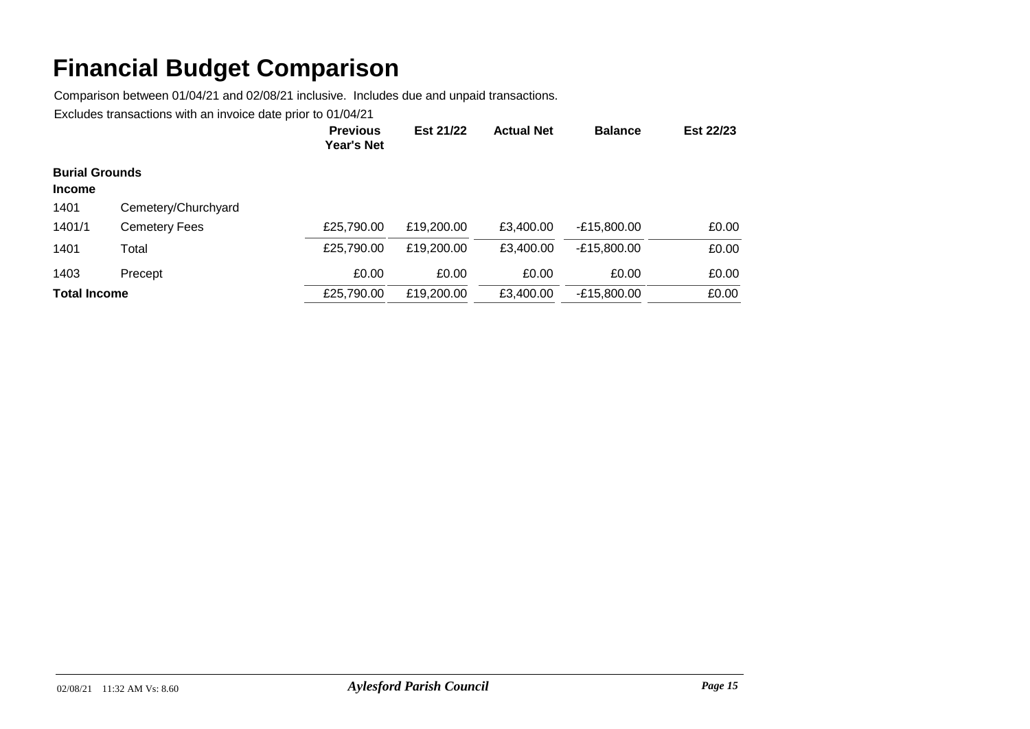Comparison between 01/04/21 and 02/08/21 inclusive. Includes due and unpaid transactions.

|                       |                      | <b>Previous</b><br>Year's Net | Est 21/22  | <b>Actual Net</b> | <b>Balance</b> | Est 22/23 |
|-----------------------|----------------------|-------------------------------|------------|-------------------|----------------|-----------|
| <b>Burial Grounds</b> |                      |                               |            |                   |                |           |
| <b>Income</b>         |                      |                               |            |                   |                |           |
| 1401                  | Cemetery/Churchyard  |                               |            |                   |                |           |
| 1401/1                | <b>Cemetery Fees</b> | £25,790.00                    | £19,200.00 | £3.400.00         | $-E15,800.00$  | £0.00     |
| 1401                  | Total                | £25,790.00                    | £19,200.00 | £3.400.00         | -£15,800.00    | £0.00     |
| 1403                  | Precept              | £0.00                         | £0.00      | £0.00             | £0.00          | £0.00     |
| <b>Total Income</b>   |                      | £25,790.00                    | £19,200.00 | £3,400.00         | $-E15,800.00$  | £0.00     |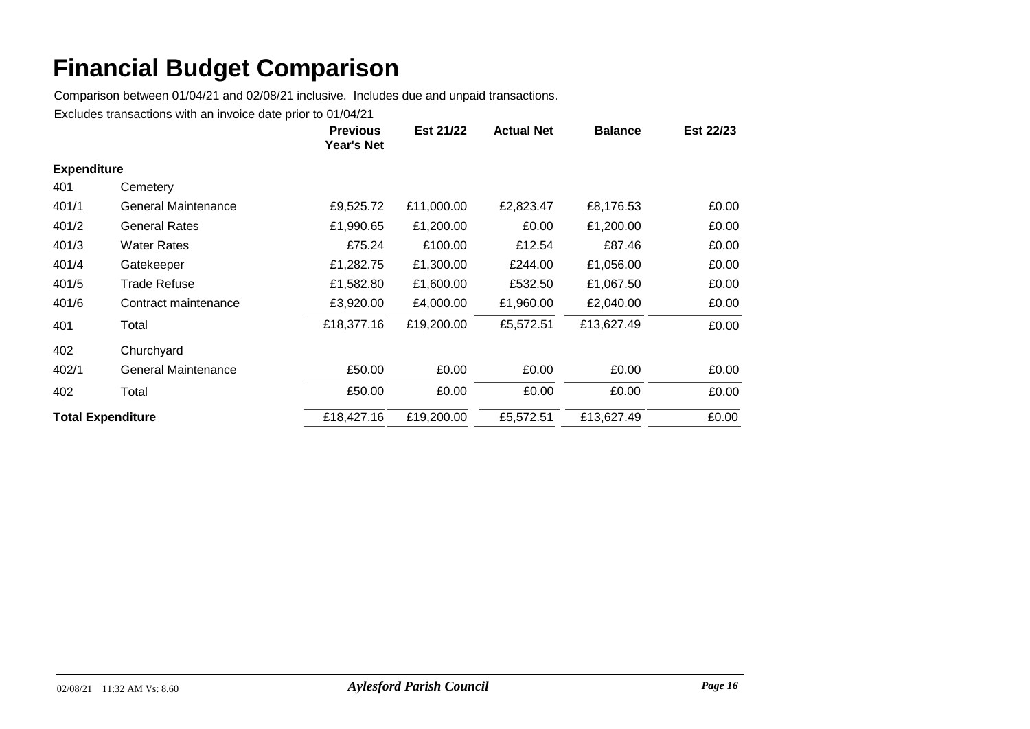Comparison between 01/04/21 and 02/08/21 inclusive. Includes due and unpaid transactions.

|                          |                            | <b>Previous</b><br><b>Year's Net</b> | Est 21/22  | <b>Actual Net</b> | <b>Balance</b> | Est 22/23 |
|--------------------------|----------------------------|--------------------------------------|------------|-------------------|----------------|-----------|
| <b>Expenditure</b>       |                            |                                      |            |                   |                |           |
| 401                      | Cemetery                   |                                      |            |                   |                |           |
| 401/1                    | General Maintenance        | £9,525.72                            | £11,000.00 | £2,823.47         | £8,176.53      | £0.00     |
| 401/2                    | <b>General Rates</b>       | £1,990.65                            | £1,200.00  | £0.00             | £1,200.00      | £0.00     |
| 401/3                    | Water Rates                | £75.24                               | £100.00    | £12.54            | £87.46         | £0.00     |
| 401/4                    | Gatekeeper                 | £1,282.75                            | £1,300.00  | £244.00           | £1,056.00      | £0.00     |
| 401/5                    | <b>Trade Refuse</b>        | £1,582.80                            | £1,600.00  | £532.50           | £1,067.50      | £0.00     |
| 401/6                    | Contract maintenance       | £3,920.00                            | £4,000.00  | £1,960.00         | £2,040.00      | £0.00     |
| 401                      | Total                      | £18,377.16                           | £19,200.00 | £5,572.51         | £13,627.49     | £0.00     |
| 402                      | Churchyard                 |                                      |            |                   |                |           |
| 402/1                    | <b>General Maintenance</b> | £50.00                               | £0.00      | £0.00             | £0.00          | £0.00     |
| 402                      | Total                      | £50.00                               | £0.00      | £0.00             | £0.00          | £0.00     |
| <b>Total Expenditure</b> |                            | £18,427.16                           | £19,200.00 | £5,572.51         | £13,627.49     | £0.00     |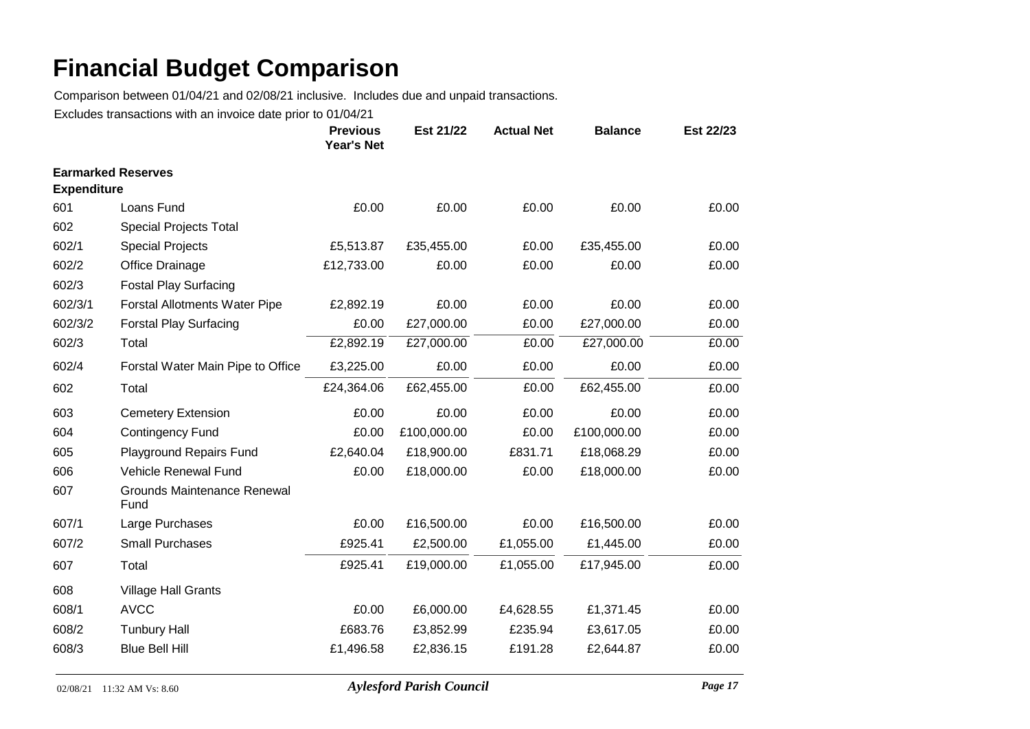Comparison between 01/04/21 and 02/08/21 inclusive. Includes due and unpaid transactions.

|                           |                                            | <b>Previous</b><br>Year's Net | Est 21/22   | <b>Actual Net</b> | <b>Balance</b> | Est 22/23 |
|---------------------------|--------------------------------------------|-------------------------------|-------------|-------------------|----------------|-----------|
| <b>Earmarked Reserves</b> |                                            |                               |             |                   |                |           |
| <b>Expenditure</b>        |                                            |                               |             |                   |                |           |
| 601                       | Loans Fund                                 | £0.00                         | £0.00       | £0.00             | £0.00          | £0.00     |
| 602                       | Special Projects Total                     |                               |             |                   |                |           |
| 602/1                     | <b>Special Projects</b>                    | £5,513.87                     | £35,455.00  | £0.00             | £35,455.00     | £0.00     |
| 602/2                     | Office Drainage                            | £12,733.00                    | £0.00       | £0.00             | £0.00          | £0.00     |
| 602/3                     | <b>Fostal Play Surfacing</b>               |                               |             |                   |                |           |
| 602/3/1                   | <b>Forstal Allotments Water Pipe</b>       | £2,892.19                     | £0.00       | £0.00             | £0.00          | £0.00     |
| 602/3/2                   | <b>Forstal Play Surfacing</b>              | £0.00                         | £27,000.00  | £0.00             | £27,000.00     | £0.00     |
| 602/3                     | Total                                      | £2,892.19                     | £27,000.00  | £0.00             | £27,000.00     | £0.00     |
| 602/4                     | Forstal Water Main Pipe to Office          | £3,225.00                     | £0.00       | £0.00             | £0.00          | £0.00     |
| 602                       | Total                                      | £24,364.06                    | £62,455.00  | £0.00             | £62,455.00     | £0.00     |
| 603                       | <b>Cemetery Extension</b>                  | £0.00                         | £0.00       | £0.00             | £0.00          | £0.00     |
| 604                       | <b>Contingency Fund</b>                    | £0.00                         | £100,000.00 | £0.00             | £100,000.00    | £0.00     |
| 605                       | <b>Playground Repairs Fund</b>             | £2,640.04                     | £18,900.00  | £831.71           | £18,068.29     | £0.00     |
| 606                       | Vehicle Renewal Fund                       | £0.00                         | £18,000.00  | £0.00             | £18,000.00     | £0.00     |
| 607                       | <b>Grounds Maintenance Renewal</b><br>Fund |                               |             |                   |                |           |
| 607/1                     | Large Purchases                            | £0.00                         | £16,500.00  | £0.00             | £16,500.00     | £0.00     |
| 607/2                     | <b>Small Purchases</b>                     | £925.41                       | £2,500.00   | £1,055.00         | £1,445.00      | £0.00     |
| 607                       | Total                                      | £925.41                       | £19,000.00  | £1,055.00         | £17,945.00     | £0.00     |
| 608                       | <b>Village Hall Grants</b>                 |                               |             |                   |                |           |
| 608/1                     | <b>AVCC</b>                                | £0.00                         | £6,000.00   | £4,628.55         | £1,371.45      | £0.00     |
| 608/2                     | <b>Tunbury Hall</b>                        | £683.76                       | £3,852.99   | £235.94           | £3,617.05      | £0.00     |
| 608/3                     | <b>Blue Bell Hill</b>                      | £1,496.58                     | £2,836.15   | £191.28           | £2,644.87      | £0.00     |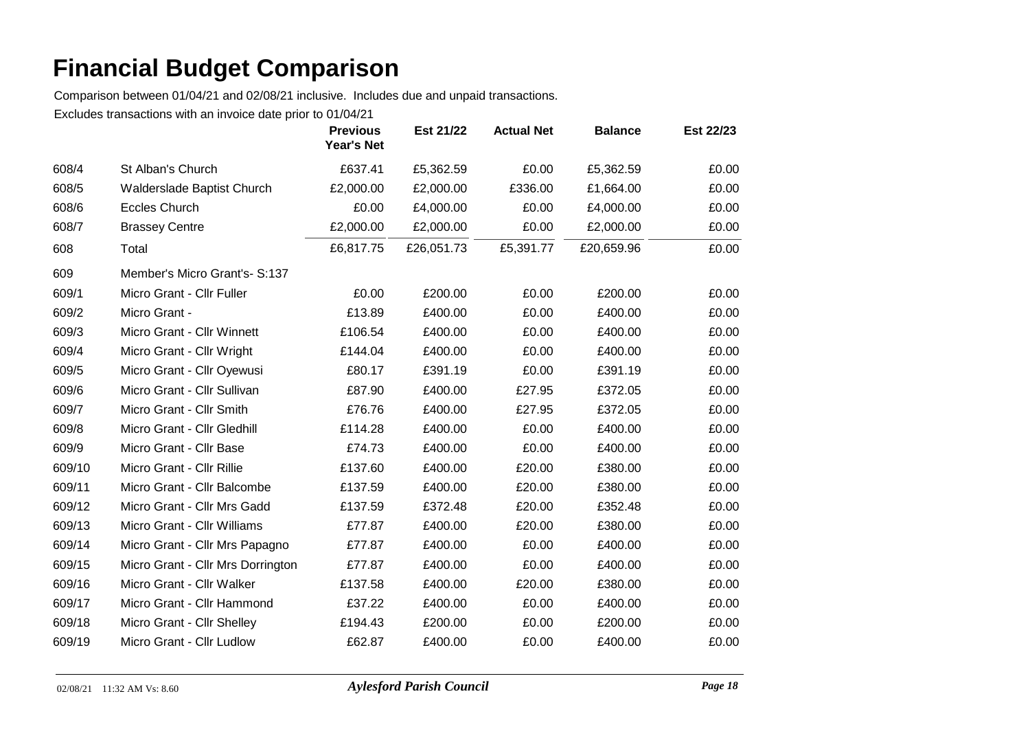Comparison between 01/04/21 and 02/08/21 inclusive. Includes due and unpaid transactions.

|        |                                   | <b>Previous</b><br>Year's Net | Est 21/22  | <b>Actual Net</b> | <b>Balance</b> | Est 22/23 |
|--------|-----------------------------------|-------------------------------|------------|-------------------|----------------|-----------|
| 608/4  | St Alban's Church                 | £637.41                       | £5,362.59  | £0.00             | £5,362.59      | £0.00     |
| 608/5  | Walderslade Baptist Church        | £2,000.00                     | £2,000.00  | £336.00           | £1,664.00      | £0.00     |
| 608/6  | <b>Eccles Church</b>              | £0.00                         | £4,000.00  | £0.00             | £4,000.00      | £0.00     |
| 608/7  | <b>Brassey Centre</b>             | £2,000.00                     | £2,000.00  | £0.00             | £2,000.00      | £0.00     |
| 608    | Total                             | £6,817.75                     | £26,051.73 | £5,391.77         | £20,659.96     | £0.00     |
| 609    | Member's Micro Grant's- S:137     |                               |            |                   |                |           |
| 609/1  | Micro Grant - Cllr Fuller         | £0.00                         | £200.00    | £0.00             | £200.00        | £0.00     |
| 609/2  | Micro Grant -                     | £13.89                        | £400.00    | £0.00             | £400.00        | £0.00     |
| 609/3  | Micro Grant - Cllr Winnett        | £106.54                       | £400.00    | £0.00             | £400.00        | £0.00     |
| 609/4  | Micro Grant - Cllr Wright         | £144.04                       | £400.00    | £0.00             | £400.00        | £0.00     |
| 609/5  | Micro Grant - Cllr Oyewusi        | £80.17                        | £391.19    | £0.00             | £391.19        | £0.00     |
| 609/6  | Micro Grant - Cllr Sullivan       | £87.90                        | £400.00    | £27.95            | £372.05        | £0.00     |
| 609/7  | Micro Grant - Cllr Smith          | £76.76                        | £400.00    | £27.95            | £372.05        | £0.00     |
| 609/8  | Micro Grant - Cllr Gledhill       | £114.28                       | £400.00    | £0.00             | £400.00        | £0.00     |
| 609/9  | Micro Grant - Cllr Base           | £74.73                        | £400.00    | £0.00             | £400.00        | £0.00     |
| 609/10 | Micro Grant - Cllr Rillie         | £137.60                       | £400.00    | £20.00            | £380.00        | £0.00     |
| 609/11 | Micro Grant - Cllr Balcombe       | £137.59                       | £400.00    | £20.00            | £380.00        | £0.00     |
| 609/12 | Micro Grant - Cllr Mrs Gadd       | £137.59                       | £372.48    | £20.00            | £352.48        | £0.00     |
| 609/13 | Micro Grant - Cllr Williams       | £77.87                        | £400.00    | £20.00            | £380.00        | £0.00     |
| 609/14 | Micro Grant - Cllr Mrs Papagno    | £77.87                        | £400.00    | £0.00             | £400.00        | £0.00     |
| 609/15 | Micro Grant - Cllr Mrs Dorrington | £77.87                        | £400.00    | £0.00             | £400.00        | £0.00     |
| 609/16 | Micro Grant - Cllr Walker         | £137.58                       | £400.00    | £20.00            | £380.00        | £0.00     |
| 609/17 | Micro Grant - Cllr Hammond        | £37.22                        | £400.00    | £0.00             | £400.00        | £0.00     |
| 609/18 | Micro Grant - Cllr Shelley        | £194.43                       | £200.00    | £0.00             | £200.00        | £0.00     |
| 609/19 | Micro Grant - Cllr Ludlow         | £62.87                        | £400.00    | £0.00             | £400.00        | £0.00     |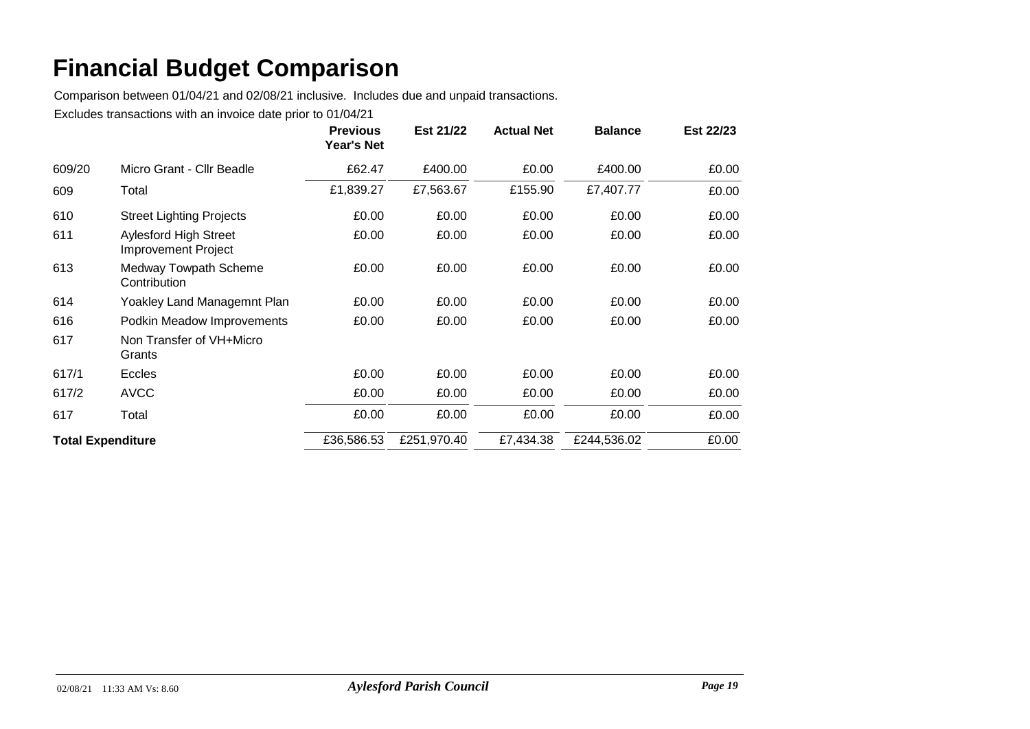Comparison between 01/04/21 and 02/08/21 inclusive. Includes due and unpaid transactions.

|                          |                                                            | <b>Previous</b><br><b>Year's Net</b> | Est 21/22   | <b>Actual Net</b> | <b>Balance</b> | Est 22/23 |
|--------------------------|------------------------------------------------------------|--------------------------------------|-------------|-------------------|----------------|-----------|
| 609/20                   | Micro Grant - Cllr Beadle                                  | £62.47                               | £400.00     | £0.00             | £400.00        | £0.00     |
| 609                      | Total                                                      | £1,839.27                            | £7,563.67   | £155.90           | £7,407.77      | £0.00     |
| 610                      | <b>Street Lighting Projects</b>                            | £0.00                                | £0.00       | £0.00             | £0.00          | £0.00     |
| 611                      | <b>Aylesford High Street</b><br><b>Improvement Project</b> | £0.00                                | £0.00       | £0.00             | £0.00          | £0.00     |
| 613                      | <b>Medway Towpath Scheme</b><br>Contribution               | £0.00                                | £0.00       | £0.00             | £0.00          | £0.00     |
| 614                      | Yoakley Land Managemnt Plan                                | £0.00                                | £0.00       | £0.00             | £0.00          | £0.00     |
| 616                      | Podkin Meadow Improvements                                 | £0.00                                | £0.00       | £0.00             | £0.00          | £0.00     |
| 617                      | Non Transfer of VH+Micro<br>Grants                         |                                      |             |                   |                |           |
| 617/1                    | <b>Eccles</b>                                              | £0.00                                | £0.00       | £0.00             | £0.00          | £0.00     |
| 617/2                    | <b>AVCC</b>                                                | £0.00                                | £0.00       | £0.00             | £0.00          | £0.00     |
| 617                      | Total                                                      | £0.00                                | £0.00       | £0.00             | £0.00          | £0.00     |
| <b>Total Expenditure</b> |                                                            | £36,586.53                           | £251,970.40 | £7,434.38         | £244,536.02    | £0.00     |